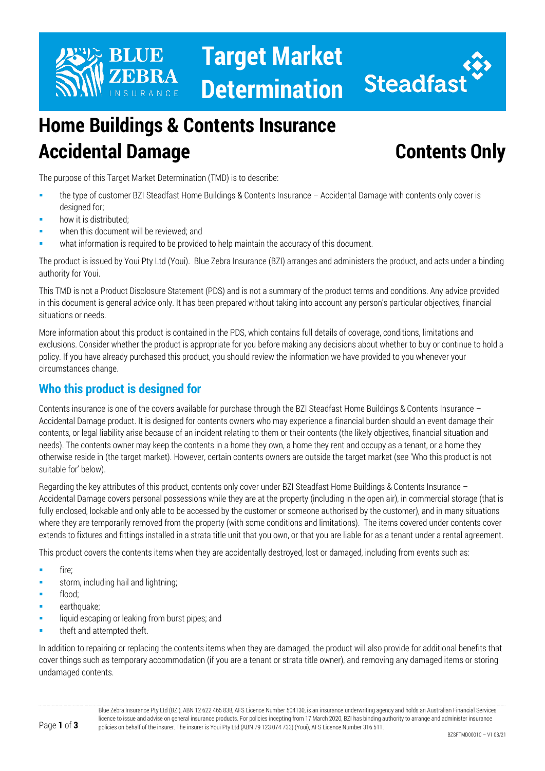

**Target Market Determination**



# **Home Buildings & Contents Insurance Accidental Damage Contents Only**

The purpose of this Target Market Determination (TMD) is to describe:

- the type of customer BZI Steadfast Home Buildings & Contents Insurance Accidental Damage with contents only cover is designed for;
- how it is distributed;
- when this document will be reviewed; and
- what information is required to be provided to help maintain the accuracy of this document.

The product is issued by Youi Pty Ltd (Youi). Blue Zebra Insurance (BZI) arranges and administers the product, and acts under a binding authority for Youi.

This TMD is not a Product Disclosure Statement (PDS) and is not a summary of the product terms and conditions. Any advice provided in this document is general advice only. It has been prepared without taking into account any person's particular objectives, financial situations or needs.

More information about this product is contained in the PDS, which contains full details of coverage, conditions, limitations and exclusions. Consider whether the product is appropriate for you before making any decisions about whether to buy or continue to hold a policy. If you have already purchased this product, you should review the information we have provided to you whenever your circumstances change.

# **Who this product is designed for**

Contents insurance is one of the covers available for purchase through the BZI Steadfast Home Buildings & Contents Insurance – Accidental Damage product. It is designed for contents owners who may experience a financial burden should an event damage their contents, or legal liability arise because of an incident relating to them or their contents (the likely objectives, financial situation and needs). The contents owner may keep the contents in a home they own, a home they rent and occupy as a tenant, or a home they otherwise reside in (the target market). However, certain contents owners are outside the target market (see 'Who this product is not suitable for' below).

Regarding the key attributes of this product, contents only cover under BZI Steadfast Home Buildings & Contents Insurance – Accidental Damage covers personal possessions while they are at the property (including in the open air), in commercial storage (that is fully enclosed, lockable and only able to be accessed by the customer or someone authorised by the customer), and in many situations where they are temporarily removed from the property (with some conditions and limitations). The items covered under contents cover extends to fixtures and fittings installed in a strata title unit that you own, or that you are liable for as a tenant under a rental agreement.

This product covers the contents items when they are accidentally destroyed, lost or damaged, including from events such as:

- $\blacksquare$  fire:
- **storm**, including hail and lightning;
- flood;
- earthquake;
- liquid escaping or leaking from burst pipes; and
- theft and attempted theft.

In addition to repairing or replacing the contents items when they are damaged, the product will also provide for additional benefits that cover things such as temporary accommodation (if you are a tenant or strata title owner), and removing any damaged items or storing undamaged contents.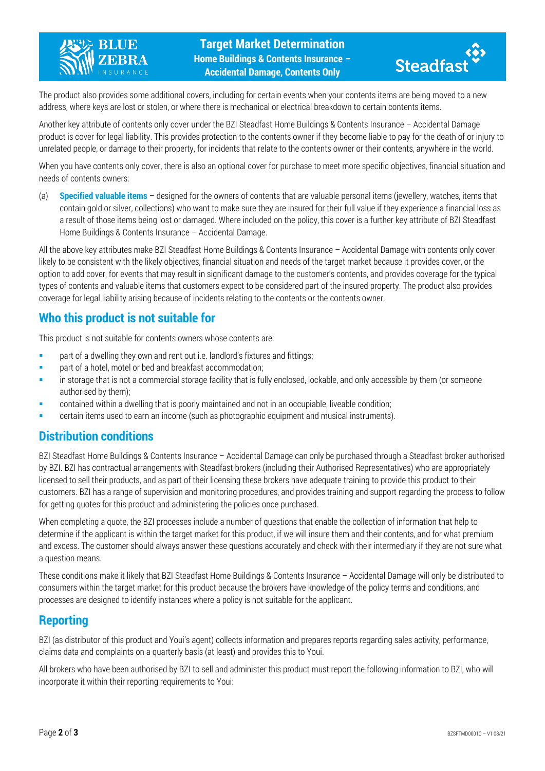



The product also provides some additional covers, including for certain events when your contents items are being moved to a new address, where keys are lost or stolen, or where there is mechanical or electrical breakdown to certain contents items.

Another key attribute of contents only cover under the BZI Steadfast Home Buildings & Contents Insurance – Accidental Damage product is cover for legal liability. This provides protection to the contents owner if they become liable to pay for the death of or injury to unrelated people, or damage to their property, for incidents that relate to the contents owner or their contents, anywhere in the world.

When you have contents only cover, there is also an optional cover for purchase to meet more specific objectives, financial situation and needs of contents owners:

(a) **Specified valuable items** – designed for the owners of contents that are valuable personal items (jewellery, watches, items that contain gold or silver, collections) who want to make sure they are insured for their full value if they experience a financial loss as a result of those items being lost or damaged. Where included on the policy, this cover is a further key attribute of BZI Steadfast Home Buildings & Contents Insurance – Accidental Damage.

All the above key attributes make BZI Steadfast Home Buildings & Contents Insurance – Accidental Damage with contents only cover likely to be consistent with the likely objectives, financial situation and needs of the target market because it provides cover, or the option to add cover, for events that may result in significant damage to the customer's contents, and provides coverage for the typical types of contents and valuable items that customers expect to be considered part of the insured property. The product also provides coverage for legal liability arising because of incidents relating to the contents or the contents owner.

# **Who this product is not suitable for**

This product is not suitable for contents owners whose contents are:

- **•** part of a dwelling they own and rent out i.e. landlord's fixtures and fittings;
- **Part of a hotel, motel or bed and breakfast accommodation:**
- in storage that is not a commercial storage facility that is fully enclosed, lockable, and only accessible by them (or someone authorised by them);
- contained within a dwelling that is poorly maintained and not in an occupiable, liveable condition;
- certain items used to earn an income (such as photographic equipment and musical instruments).

# **Distribution conditions**

BZI Steadfast Home Buildings & Contents Insurance – Accidental Damage can only be purchased through a Steadfast broker authorised by BZI. BZI has contractual arrangements with Steadfast brokers (including their Authorised Representatives) who are appropriately licensed to sell their products, and as part of their licensing these brokers have adequate training to provide this product to their customers. BZI has a range of supervision and monitoring procedures, and provides training and support regarding the process to follow for getting quotes for this product and administering the policies once purchased.

When completing a quote, the BZI processes include a number of questions that enable the collection of information that help to determine if the applicant is within the target market for this product, if we will insure them and their contents, and for what premium and excess. The customer should always answer these questions accurately and check with their intermediary if they are not sure what a question means.

These conditions make it likely that BZI Steadfast Home Buildings & Contents Insurance – Accidental Damage will only be distributed to consumers within the target market for this product because the brokers have knowledge of the policy terms and conditions, and processes are designed to identify instances where a policy is not suitable for the applicant.

#### **Reporting**

BZI (as distributor of this product and Youi's agent) collects information and prepares reports regarding sales activity, performance, claims data and complaints on a quarterly basis (at least) and provides this to Youi.

All brokers who have been authorised by BZI to sell and administer this product must report the following information to BZI, who will incorporate it within their reporting requirements to Youi: